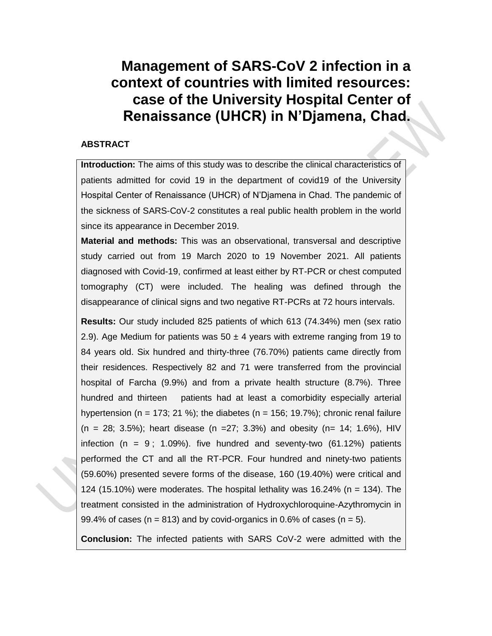# **Management of SARS-CoV 2 infection in a context of countries with limited resources: case of the University Hospital Center of Renaissance (UHCR) in N'Djamena, Chad.**

## **ABSTRACT**

**Introduction:** The aims of this study was to describe the clinical characteristics of patients admitted for covid 19 in the department of covid19 of the University Hospital Center of Renaissance (UHCR) of N'Djamena in Chad. The pandemic of the sickness of SARS-CoV-2 constitutes a real public health problem in the world since its appearance in December 2019.

**Material and methods:** This was an observational, transversal and descriptive study carried out from 19 March 2020 to 19 November 2021. All patients diagnosed with Covid-19, confirmed at least either by RT-PCR or chest computed tomography (CT) were included. The healing was defined through the disappearance of clinical signs and two negative RT-PCRs at 72 hours intervals.

**Results:** Our study included 825 patients of which 613 (74.34%) men (sex ratio 2.9). Age Medium for patients was  $50 \pm 4$  years with extreme ranging from 19 to 84 years old. Six hundred and thirty-three (76.70%) patients came directly from their residences. Respectively 82 and 71 were transferred from the provincial hospital of Farcha (9.9%) and from a private health structure (8.7%). Three hundred and thirteen patients had at least a comorbidity especially arterial hypertension (n = 173; 21 %); the diabetes (n = 156; 19.7%); chronic renal failure  $(n = 28; 3.5\%)$ ; heart disease  $(n = 27; 3.3\%)$  and obesity  $(n = 14; 1.6\%)$ , HIV infection (n = 9; 1.09%). five hundred and seventy-two  $(61.12\%)$  patients performed the CT and all the RT-PCR. Four hundred and ninety-two patients (59.60%) presented severe forms of the disease, 160 (19.40%) were critical and 124 (15.10%) were moderates. The hospital lethality was 16.24% (n = 134). The treatment consisted in the administration of Hydroxychloroquine-Azythromycin in 99.4% of cases ( $n = 813$ ) and by covid-organics in 0.6% of cases ( $n = 5$ ).

**Conclusion:** The infected patients with SARS CoV-2 were admitted with the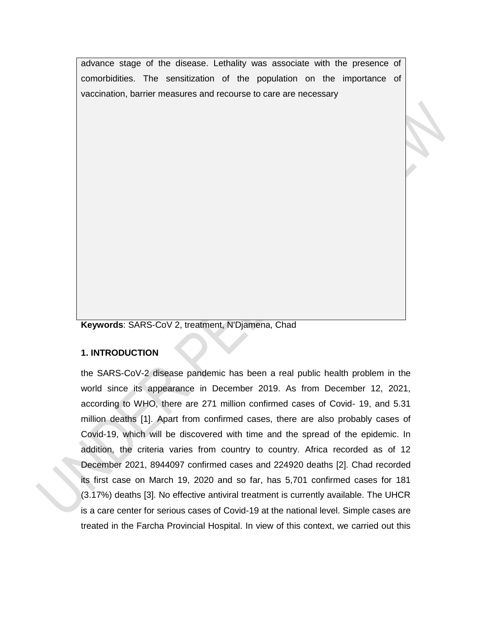advance stage of the disease. Lethality was associate with the presence of comorbidities. The sensitization of the population on the importance of vaccination, barrier measures and recourse to care are necessary

**Keywords**: SARS-CoV 2, treatment, N'Djamena, Chad

### **1. INTRODUCTION**

the SARS-CoV-2 disease pandemic has been a real public health problem in the world since its appearance in December 2019. As from December 12, 2021, according to WHO, there are 271 million confirmed cases of Covid- 19, and 5.31 million deaths [1]. Apart from confirmed cases, there are also probably cases of Covid-19, which will be discovered with time and the spread of the epidemic. In addition, the criteria varies from country to country. Africa recorded as of 12 December 2021, 8944097 confirmed cases and 224920 deaths [2]. Chad recorded its first case on March 19, 2020 and so far, has 5,701 confirmed cases for 181 (3.17%) deaths [3]. No effective antiviral treatment is currently available. The UHCR is a care center for serious cases of Covid-19 at the national level. Simple cases are treated in the Farcha Provincial Hospital. In view of this context, we carried out this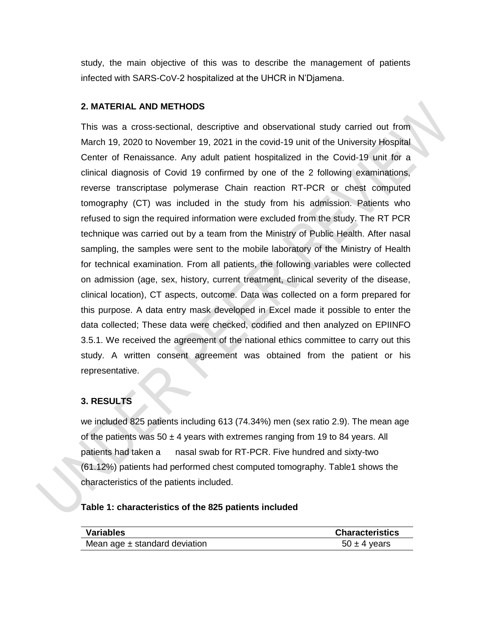study, the main objective of this was to describe the management of patients infected with SARS-CoV-2 hospitalized at the UHCR in N'Djamena.

### **2. MATERIAL AND METHODS**

This was a cross-sectional, descriptive and observational study carried out from March 19, 2020 to November 19, 2021 in the covid-19 unit of the University Hospital Center of Renaissance. Any adult patient hospitalized in the Covid-19 unit for a clinical diagnosis of Covid 19 confirmed by one of the 2 following examinations, reverse transcriptase polymerase Chain reaction RT-PCR or chest computed tomography (CT) was included in the study from his admission. Patients who refused to sign the required information were excluded from the study. The RT PCR technique was carried out by a team from the Ministry of Public Health. After nasal sampling, the samples were sent to the mobile laboratory of the Ministry of Health for technical examination. From all patients, the following variables were collected on admission (age, sex, history, current treatment, clinical severity of the disease, clinical location), CT aspects, outcome. Data was collected on a form prepared for this purpose. A data entry mask developed in Excel made it possible to enter the data collected; These data were checked, codified and then analyzed on EPIINFO 3.5.1. We received the agreement of the national ethics committee to carry out this study. A written consent agreement was obtained from the patient or his representative.

# **3. RESULTS**

we included 825 patients including 613 (74.34%) men (sex ratio 2.9). The mean age of the patients was 50  $\pm$  4 years with extremes ranging from 19 to 84 years. All patients had taken a nasal swab for RT-PCR. Five hundred and sixty-two (61.12%) patients had performed chest computed tomography. Table1 shows the characteristics of the patients included.

### **Table 1: characteristics of the 825 patients included**

| <b>Variables</b>                  | <b>Characteristics</b> |
|-----------------------------------|------------------------|
| Mean age $\pm$ standard deviation | $50 \pm 4$ years       |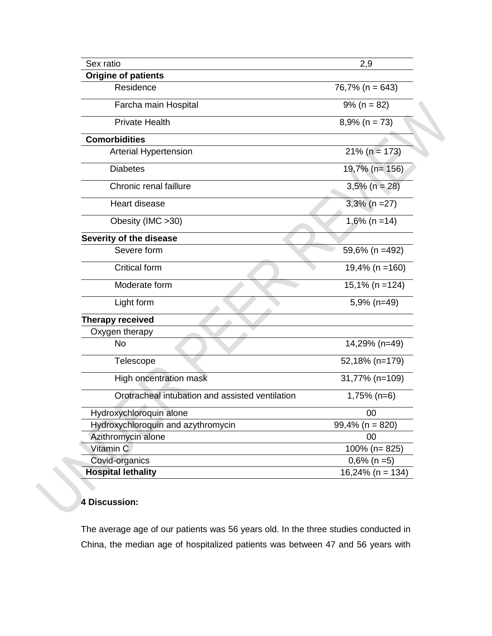| Sex ratio                                       | 2,9                 |
|-------------------------------------------------|---------------------|
| <b>Origine of patients</b>                      |                     |
| Residence                                       | $76,7\%$ (n = 643)  |
| Farcha main Hospital                            | $9\%$ (n = 82)      |
| <b>Private Health</b>                           | $8,9\%$ (n = 73)    |
| <b>Comorbidities</b>                            |                     |
| <b>Arterial Hypertension</b>                    | $21\%$ (n = 173)    |
| <b>Diabetes</b>                                 | 19,7% (n= 156)      |
| Chronic renal faillure                          | $3,5% (n = 28)$     |
| Heart disease                                   | $3,3\%$ (n = 27)    |
| Obesity (IMC > 30)                              | $1,6\%$ (n = 14)    |
| Severity of the disease                         |                     |
| Severe form                                     | 59,6% (n =492)      |
| <b>Critical form</b>                            | $19,4\%$ (n = 160)  |
| Moderate form                                   | $15,1\%$ (n = 124)  |
| Light form                                      | 5,9% (n=49)         |
| <b>Therapy received</b>                         |                     |
| Oxygen therapy                                  |                     |
| <b>No</b>                                       | 14,29% (n=49)       |
| Telescope                                       | 52,18% (n=179)      |
| High oncentration mask                          | 31,77% (n=109)      |
| Orotracheal intubation and assisted ventilation | $1,75\%$ (n=6)      |
| Hydroxychloroquin alone                         | 00                  |
| Hydroxychloroquin and azythromycin              | $99,4\%$ (n = 820)  |
| Azithromycin alone                              | 00                  |
| Vitamin C                                       | 100% (n=825)        |
| Covid-organics                                  | $0,6\%$ (n = 5)     |
| <b>Hospital lethality</b>                       | $16,24\%$ (n = 134) |

# **4 Discussion:**

The average age of our patients was 56 years old. In the three studies conducted in China, the median age of hospitalized patients was between 47 and 56 years with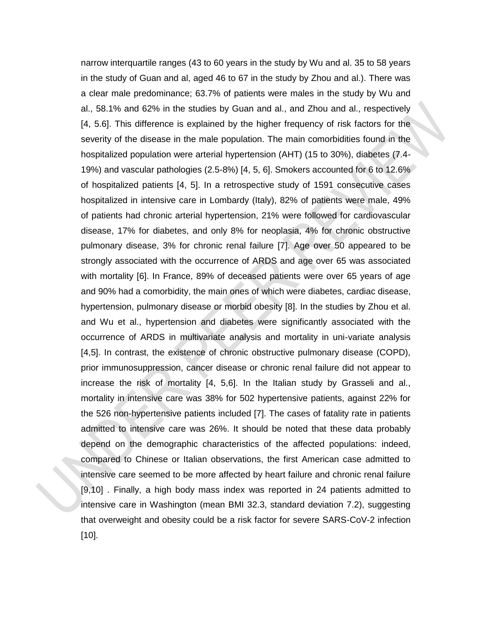narrow interquartile ranges (43 to 60 years in the study by Wu and al. 35 to 58 years in the study of Guan and al, aged 46 to 67 in the study by Zhou and al.). There was a clear male predominance; 63.7% of patients were males in the study by Wu and al., 58.1% and 62% in the studies by Guan and al., and Zhou and al., respectively [4, 5.6]. This difference is explained by the higher frequency of risk factors for the severity of the disease in the male population. The main comorbidities found in the hospitalized population were arterial hypertension (AHT) (15 to 30%), diabetes (7.4- 19%) and vascular pathologies (2.5-8%) [4, 5, 6]. Smokers accounted for 6 to 12.6% of hospitalized patients [4, 5]. In a retrospective study of 1591 consecutive cases hospitalized in intensive care in Lombardy (Italy), 82% of patients were male, 49% of patients had chronic arterial hypertension, 21% were followed for cardiovascular disease, 17% for diabetes, and only 8% for neoplasia, 4% for chronic obstructive pulmonary disease, 3% for chronic renal failure [7]. Age over 50 appeared to be strongly associated with the occurrence of ARDS and age over 65 was associated with mortality [6]. In France, 89% of deceased patients were over 65 years of age and 90% had a comorbidity, the main ones of which were diabetes, cardiac disease, hypertension, pulmonary disease or morbid obesity [8]. In the studies by Zhou et al. and Wu et al., hypertension and diabetes were significantly associated with the occurrence of ARDS in multivariate analysis and mortality in uni-variate analysis [4,5]. In contrast, the existence of chronic obstructive pulmonary disease (COPD), prior immunosuppression, cancer disease or chronic renal failure did not appear to increase the risk of mortality [4, 5,6]. In the Italian study by Grasseli and al., mortality in intensive care was 38% for 502 hypertensive patients, against 22% for the 526 non-hypertensive patients included [7]. The cases of fatality rate in patients admitted to intensive care was 26%. It should be noted that these data probably depend on the demographic characteristics of the affected populations: indeed, compared to Chinese or Italian observations, the first American case admitted to intensive care seemed to be more affected by heart failure and chronic renal failure [9,10] . Finally, a high body mass index was reported in 24 patients admitted to intensive care in Washington (mean BMI 32.3, standard deviation 7.2), suggesting that overweight and obesity could be a risk factor for severe SARS-CoV-2 infection [10].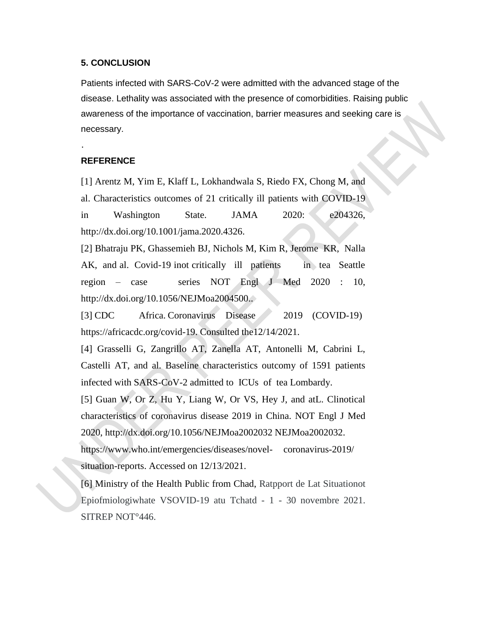#### **5. CONCLUSION**

Patients infected with SARS-CoV-2 were admitted with the advanced stage of the disease. Lethality was associated with the presence of comorbidities. Raising public awareness of the importance of vaccination, barrier measures and seeking care is necessary.

### **REFERENCE**

.

[1] Arentz M, Yim E, Klaff L, Lokhandwala S, Riedo FX, Chong M, and al. Characteristics outcomes of 21 critically ill patients with COVID-19 in Washington State. JAMA 2020: e204326, http://dx.doi.org/10.1001/jama.2020.4326.

[2] Bhatraju PK, Ghassemieh BJ, Nichols M, Kim R, Jerome KR, Nalla AK, and al. Covid-19 inot critically ill patients in tea Seattle region – case series NOT Engl J Med 2020 : 10, http://dx.doi.org/10.1056/NEJMoa2004500..

[3] CDC Africa. Coronavirus Disease 2019 (COVID-19) https://africacdc.org/covid-19. Consulted the12/14/2021.

[4] Grasselli G, Zangrillo AT, Zanella AT, Antonelli M, Cabrini L, Castelli AT, and al. Baseline characteristics outcomy of 1591 patients infected with SARS-CoV-2 admitted to ICUs of tea Lombardy.

[5] Guan W, Or Z, Hu Y, Liang W, Or VS, Hey J, and atL. Clinotical characteristics of coronavirus disease 2019 in China. NOT Engl J Med 2020, http://dx.doi.org/10.1056/NEJMoa2002032 NEJMoa2002032.

https://www.who.int/emergencies/diseases/novel- coronavirus-2019/ situation-reports. Accessed on 12/13/2021.

[6] Ministry of the Health Public from Chad, Ratpport de Lat Situationot Epiofmiologiwhate VSOVID-19 atu Tchatd - 1 - 30 novembre 2021. SITREP NOT°446.